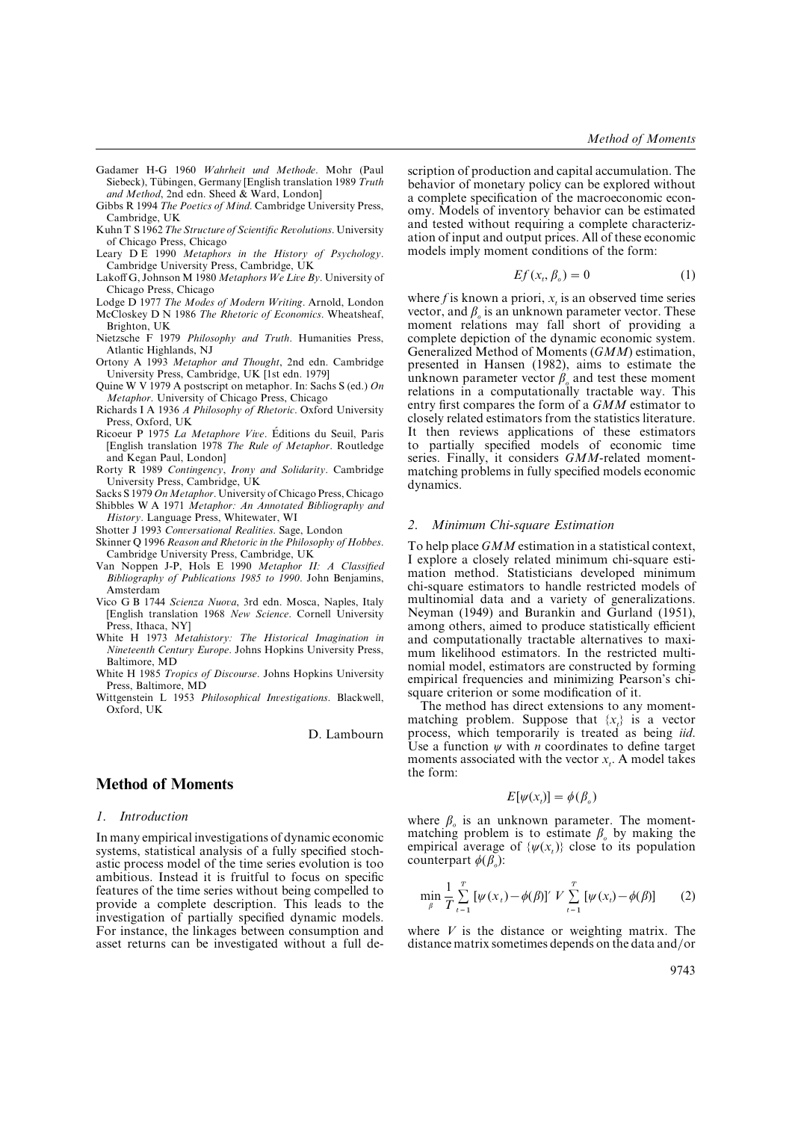Gadamer H-G 1960 *Wahrheit und Methode*. Mohr (Paul Siebeck), Tubingen, Germany [English translation 1989 *Truth and Method*, 2nd edn. Sheed & Ward, London]

Gibbs R 1994 *The Poetics of Mind*. Cambridge University Press, Cambridge, UK

- Kuhn T S 1962*The Structure of Scientific Reolutions*. University of Chicago Press, Chicago
- Leary D E 1990 *Metaphors in the History of Psychology*. Cambridge University Press, Cambridge, UK
- Lakoff G, Johnson M 1980 *Metaphors We Lie By*. University of Chicago Press, Chicago
- Lodge D 1977 *The Modes of Modern Writing*. Arnold, London
- McCloskey D N 1986 *The Rhetoric of Economics*. Wheatsheaf, Brighton, UK
- Nietzsche F 1979 *Philosophy and Truth*. Humanities Press, Atlantic Highlands, NJ
- Ortony A 1993 *Metaphor and Thought*, 2nd edn. Cambridge University Press, Cambridge, UK [1st edn. 1979]
- Quine W V 1979 A postscript on metaphor. In: Sachs S (ed.) *On Metaphor*. University of Chicago Press, Chicago
- Richards I A 1936 *A Philosophy of Rhetoric*. Oxford University Press, Oxford, UK
- Ricoeur P 1975 La Metaphore Vive. Éditions du Seuil, Paris [English translation 1978 *The Rule of Metaphor*. Routledge and Kegan Paul, London]
- Rorty R 1989 *Contingency*, *Irony and Solidarity*. Cambridge University Press, Cambridge, UK

Sacks S 1979 On Metaphor. University of Chicago Press, Chicago

- Shibbles W A 1971 *Metaphor: An Annotated Bibliography and History*. Language Press, Whitewater, WI
- Shotter J 1993 *Conersational Realities*. Sage, London
- Skinner Q 1996 *Reason and Rhetoric in the Philosophy of Hobbes*. Cambridge University Press, Cambridge, UK
- Van Noppen J-P, Hols E 1990 *Metaphor II: A Classified Bibliography of Publications 1985 to 1990*. John Benjamins, Amsterdam
- Vico G B 1744 *Scienza Nuoa*, 3rd edn. Mosca, Naples, Italy [English translation 1968 *New Science*. Cornell University Press, Ithaca, NY]
- White H 1973 *Metahistory: The Historical Imagination in Nineteenth Century Europe*. Johns Hopkins University Press, Baltimore, MD
- White H 1985 *Tropics of Discourse*. Johns Hopkins University Press, Baltimore, MD
- Wittgenstein L 1953 *Philosophical Inestigations*. Blackwell, Oxford, UK

D. Lambourn

# **Method of Moments**

#### *1. Introduction*

In many empirical investigations of dynamic economic systems, statistical analysis of a fully specified stochastic process model of the time series evolution is too ambitious. Instead it is fruitful to focus on specific features of the time series without being compelled to provide a complete description. This leads to the investigation of partially specified dynamic models. For instance, the linkages between consumption and asset returns can be investigated without a full de-

scription of production and capital accumulation. The behavior of monetary policy can be explored without a complete specification of the macroeconomic economy. Models of inventory behavior can be estimated and tested without requiring a complete characterization of input and output prices. All of these economic models imply moment conditions of the form:

$$
Ef(x_i, \beta_o) = 0 \tag{1}
$$

where *f* is known a priori,  $x_t$  is an observed time series vector, and  $\beta_o$  is an unknown parameter vector. These moment relations may fall short of providing a complete depiction of the dynamic economic system. Generalized Method of Moments (*GMM*) estimation, presented in Hansen (1982), aims to estimate the unknown parameter vector  $\beta_{\rho}$  and test these moment relations in a computationally tractable way. This entry first compares the form of a *GMM* estimator to closely related estimators from the statistics literature. It then reviews applications of these estimators to partially specified models of economic time series. Finally, it considers *GMM*-related momentmatching problems in fully specified models economic dynamics.

#### *2. Minimum Chi-square Estimation*

To help place *GMM* estimation in a statistical context, I explore a closely related minimum chi-square estimation method. Statisticians developed minimum chi-square estimators to handle restricted models of multinomial data and a variety of generalizations. Neyman (1949) and Burankin and Gurland (1951), among others, aimed to produce statistically efficient and computationally tractable alternatives to maximum likelihood estimators. In the restricted multinomial model, estimators are constructed by forming empirical frequencies and minimizing Pearson's chisquare criterion or some modification of it.

The method has direct extensions to any momentmatching problem. Suppose that  $\{x_t\}$  is a vector process, which temporarily is treated as being *iid*. Use a function  $\psi$  with *n* coordinates to define target moments associated with the vector  $x_t$ . A model takes the form:

$$
E[\psi(x_i)] = \phi(\beta_o)
$$

where  $\beta_o$  is an unknown parameter. The momentmatching problem is to estimate β*o* by making the empirical average of  $\{\psi(x_t)\}\)$  close to its population counterpart φ(β*o*):

$$
\min_{\beta} \frac{1}{T} \sum_{t=1}^{T} [\psi(x_t) - \phi(\beta)]' V \sum_{t=1}^{T} [\psi(x_t) - \phi(\beta)] \tag{2}
$$

where *V* is the distance or weighting matrix. The distance matrix sometimes depends on the data and/or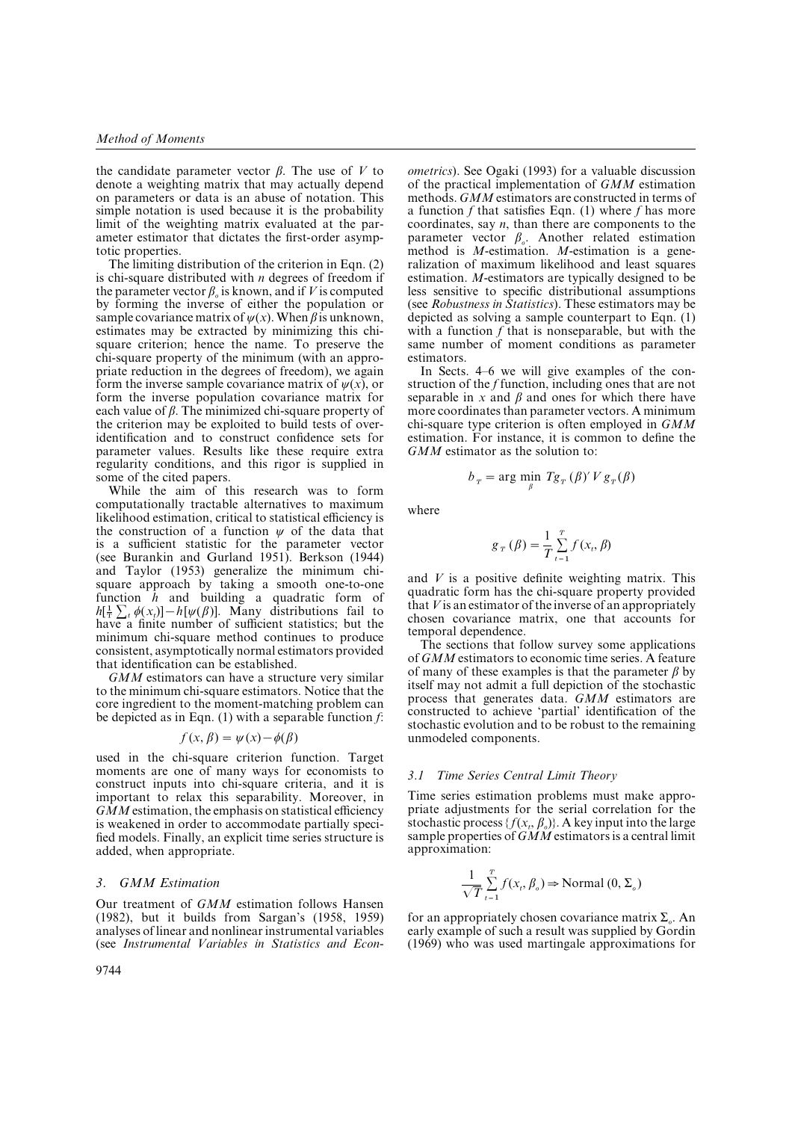the candidate parameter vector β. The use of *V* to denote a weighting matrix that may actually depend on parameters or data is an abuse of notation. This simple notation is used because it is the probability limit of the weighting matrix evaluated at the parameter estimator that dictates the first-order asymptotic properties.

The limiting distribution of the criterion in Eqn. (2) is chi-square distributed with *n* degrees of freedom if the parameter vector  $\beta_o$  is known, and if *V* is computed by forming the inverse of either the population or sample covariance matrix of  $\psi(x)$ . When  $\beta$  is unknown, estimates may be extracted by minimizing this chisquare criterion; hence the name. To preserve the chi-square property of the minimum (with an appropriate reduction in the degrees of freedom), we again form the inverse sample covariance matrix of  $\psi(x)$ , or form the inverse population covariance matrix for each value of  $\beta$ . The minimized chi-square property of the criterion may be exploited to build tests of overidentification and to construct confidence sets for parameter values. Results like these require extra regularity conditions, and this rigor is supplied in some of the cited papers.

While the aim of this research was to form computationally tractable alternatives to maximum likelihood estimation, critical to statistical efficiency is the construction of a function  $\psi$  of the data that is a sufficient statistic for the parameter vector (see Burankin and Gurland 1951). Berkson (1944) and Taylor (1953) generalize the minimum chisquare approach by taking a smooth one-to-one function *h* and building a quadratic form of function *h* and building a quadratic form of  $h[\frac{1}{2}\sum_i \phi(x_i)] - h[\psi(\beta)]$ . Many distributions fail to have a finite number of sufficient statistics; but the minimum chi-square method continues to produce consistent, asymptotically normal estimators provided that identification can be established.

*GMM* estimators can have a structure very similar to the minimum chi-square estimators. Notice that the core ingredient to the moment-matching problem can be depicted as in Eqn. (1) with a separable function *f*:

$$
f(x, \beta) = \psi(x) - \phi(\beta)
$$

used in the chi-square criterion function. Target moments are one of many ways for economists to construct inputs into chi-square criteria, and it is important to relax this separability. Moreover, in *GMM* estimation, the emphasis on statistical efficiency is weakened in order to accommodate partially specified models. Finally, an explicit time series structure is added, when appropriate.

### *3. GMM Estimation*

Our treatment of *GMM* estimation follows Hansen (1982), but it builds from Sargan's (1958, 1959) analyses of linear and nonlinear instrumental variables (see *Instrumental Variables in Statistics and Econ*-

*ometrics*). See Ogaki (1993) for a valuable discussion of the practical implementation of *GMM* estimation methods. *GMM* estimators are constructed in terms of a function *f* that satisfies Eqn. (1) where *f* has more coordinates, say *n*, than there are components to the parameter vector β*o*. Another related estimation method is *M*-estimation. *M*-estimation is a generalization of maximum likelihood and least squares estimation. *M*-estimators are typically designed to be less sensitive to specific distributional assumptions (see *Robustness in Statistics*). These estimators may be depicted as solving a sample counterpart to Eqn. (1) with a function *f* that is nonseparable, but with the same number of moment conditions as parameter estimators.

In Sects. 4–6 we will give examples of the construction of the *f* function, including ones that are not separable in  $x$  and  $\beta$  and ones for which there have more coordinates than parameter vectors. A minimum chi-square type criterion is often employed in *GMM* estimation. For instance, it is common to define the *GMM* estimator as the solution to:

$$
b_{T} = \arg\min_{\beta} Tg_{T}(\beta)' V g_{T}(\beta)
$$

where

$$
g_T(\beta) = \frac{1}{T} \sum_{t=1}^T f(x_t, \beta)
$$

and *V* is a positive definite weighting matrix. This quadratic form has the chi-square property provided that *V* is an estimator of the inverse of an appropriately chosen covariance matrix, one that accounts for temporal dependence.

The sections that follow survey some applications of *GMM* estimators to economic time series. A feature of many of these examples is that the parameter  $\beta$  by itself may not admit a full depiction of the stochastic process that generates data. *GMM* estimators are constructed to achieve 'partial' identification of the stochastic evolution and to be robust to the remaining unmodeled components.

#### *3.1 Time Series Central Limit Theory*

Time series estimation problems must make appropriate adjustments for the serial correlation for the stochastic process  $\{f(x_t, \beta_o)\}\$ . A key input into the large sample properties of *GMM* estimators is a central limit approximation:

$$
\frac{1}{\sqrt{T}} \sum_{t=1}^{T} f(x_t, \beta_o) \Rightarrow \text{Normal}(0, \Sigma_o)
$$

for an appropriately chosen covariance matrix Σ*o*. An early example of such a result was supplied by Gordin (1969) who was used martingale approximations for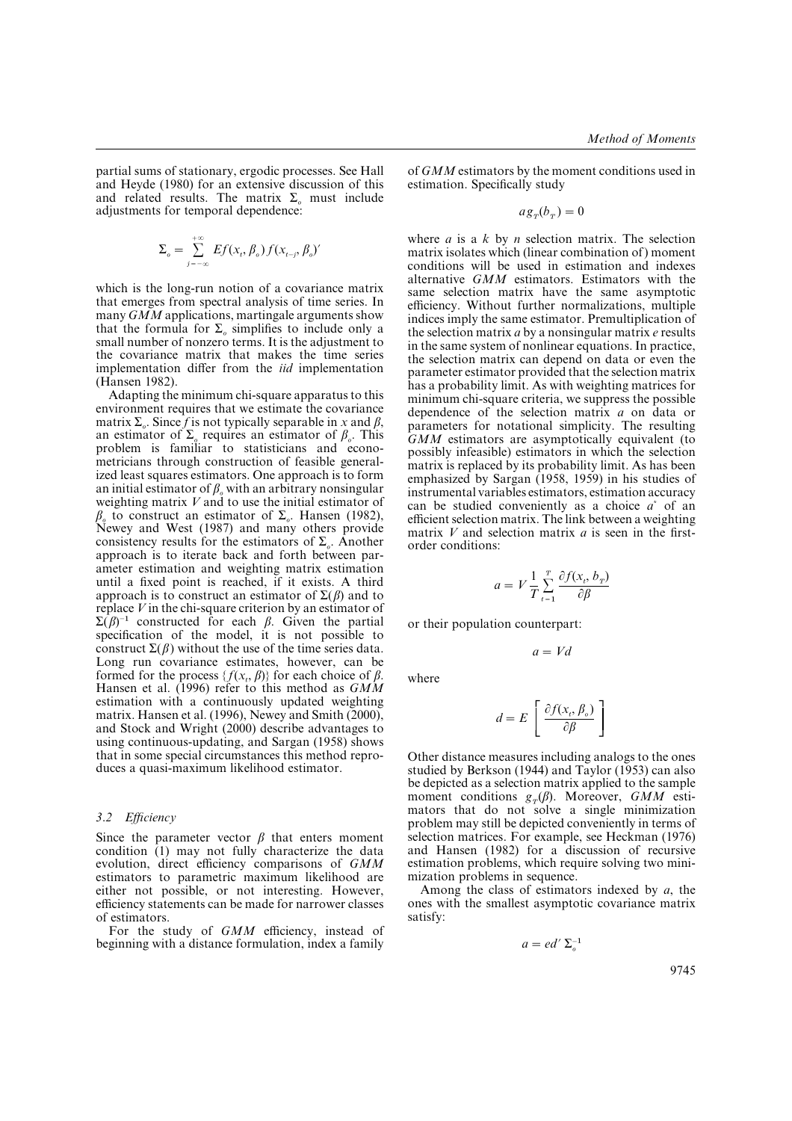partial sums of stationary, ergodic processes. See Hall and Heyde (1980) for an extensive discussion of this and related results. The matrix Σ*o* must include adjustments for temporal dependence:

$$
\Sigma_o = \sum_{j=-\infty}^{+\infty} Ef(x_i, \beta_o) f(x_{i-j}, \beta_o)'
$$

which is the long-run notion of a covariance matrix that emerges from spectral analysis of time series. In many *GMM* applications, martingale arguments show that the formula for  $\Sigma_o$  simplifies to include only a small number of nonzero terms. It is the adjustment to the covariance matrix that makes the time series implementation differ from the *iid* implementation (Hansen 1982).

Adapting the minimum chi-square apparatus to this environment requires that we estimate the covariance matrix  $\Sigma_{\rho}$ . Since *f* is not typically separable in *x* and  $\beta$ , an estimator of Σ*o* requires an estimator of β*<sup>o</sup>* . This problem is familiar to statisticians and econometricians through construction of feasible generalized least squares estimators. One approach is to form an initial estimator of  $\beta$ <sub>*o*</sub> with an arbitrary nonsingular weighting matrix *V* and to use the initial estimator of β*o* to construct an estimator of Σ*<sup>o</sup>* . Hansen (1982), Newey and West (1987) and many others provide consistency results for the estimators of Σ*o*. Another approach is to iterate back and forth between parameter estimation and weighting matrix estimation until a fixed point is reached, if it exists. A third approach is to construct an estimator of  $\Sigma$ (β) and to replace *V* in the chi-square criterion by an estimator of  $\Sigma(\beta)^{-1}$  constructed for each  $\beta$ . Given the partial specification of the model, it is not possible to construct  $\Sigma(\beta)$  without the use of the time series data. Long run covariance estimates, however, can be formed for the process  $\{f(x_t, \beta)\}\$ for each choice of  $\beta$ . Hansen et al. (1996) refer to this method as *GMM* estimation with a continuously updated weighting matrix. Hansen et al. (1996), Newey and Smith (2000), and Stock and Wright (2000) describe advantages to using continuous-updating, and Sargan (1958) shows that in some special circumstances this method reproduces a quasi-maximum likelihood estimator.

#### *3.2 Efficiency*

Since the parameter vector  $\beta$  that enters moment condition (1) may not fully characterize the data evolution, direct efficiency comparisons of *GMM* estimators to parametric maximum likelihood are either not possible, or not interesting. However, efficiency statements can be made for narrower classes of estimators.

For the study of *GMM* efficiency, instead of beginning with a distance formulation, index a family

of *GMM* estimators by the moment conditions used in estimation. Specifically study

$$
a g_T(b_T) = 0
$$

where *a* is a *k* by *n* selection matrix. The selection matrix isolates which (linear combination of ) moment conditions will be used in estimation and indexes alternative *GMM* estimators. Estimators with the same selection matrix have the same asymptotic efficiency. Without further normalizations, multiple indices imply the same estimator. Premultiplication of the selection matrix *a* by a nonsingular matrix *e* results in the same system of nonlinear equations. In practice, the selection matrix can depend on data or even the parameter estimator provided that the selection matrix has a probability limit. As with weighting matrices for minimum chi-square criteria, we suppress the possible dependence of the selection matrix *a* on data or parameters for notational simplicity. The resulting *GMM* estimators are asymptotically equivalent (to possibly infeasible) estimators in which the selection matrix is replaced by its probability limit. As has been emphasized by Sargan (1958, 1959) in his studies of instrumental variables estimators, estimation accuracy can be studied conveniently as a choice *a*\* of an efficient selection matrix. The link between a weighting matrix *V* and selection matrix *a* is seen in the firstorder conditions:

$$
a = V \frac{1}{T} \sum_{t=1}^{T} \frac{\partial f(x_t, b_T)}{\partial \beta}
$$

or their population counterpart:

$$
a = Vd
$$

where

$$
d = E\left[\frac{\partial f(x_i, \beta_o)}{\partial \beta}\right]
$$

Other distance measures including analogs to the ones studied by Berkson (1944) and Taylor (1953) can also be depicted as a selection matrix applied to the sample moment conditions *g<sub>T</sub>*(β). Moreover, *GMM* estimators that do not solve a single minimization problem may still be depicted conveniently in terms of selection matrices. For example, see Heckman (1976) and Hansen (1982) for a discussion of recursive estimation problems, which require solving two minimization problems in sequence.

Among the class of estimators indexed by *a*, the ones with the smallest asymptotic covariance matrix satisfy:

$$
a = ed' \Sigma_o^{-1}
$$

9745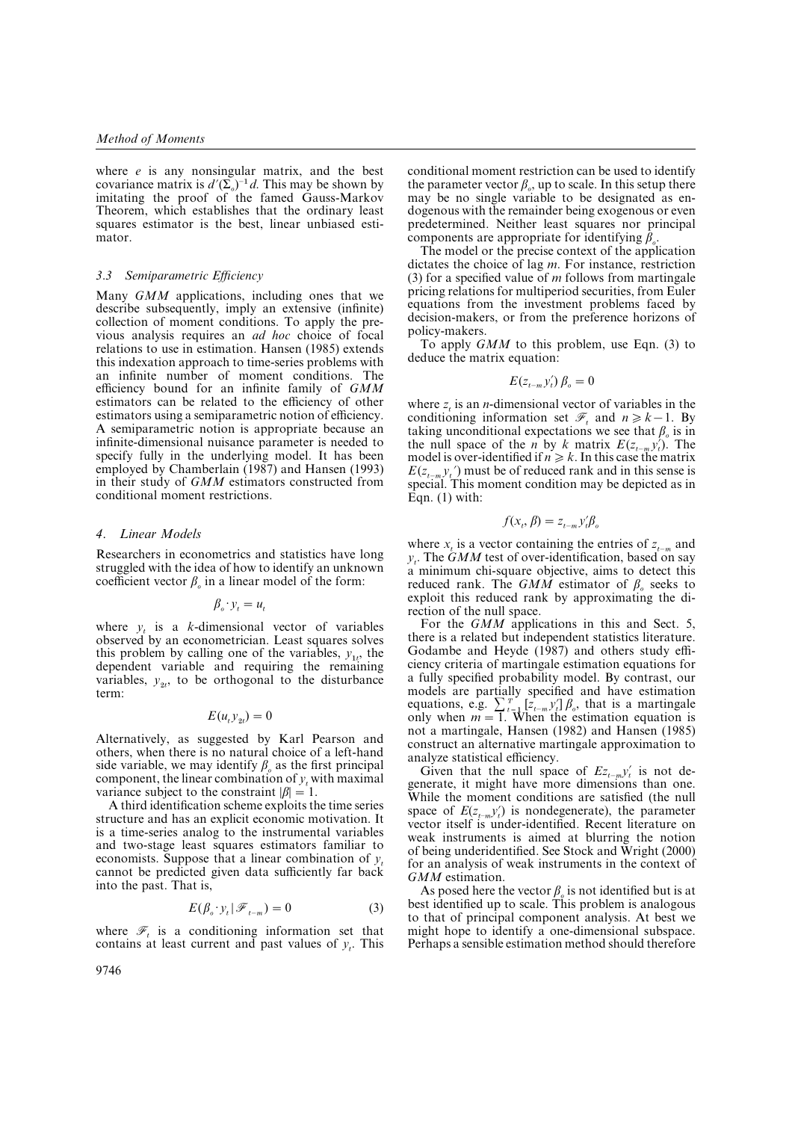where *e* is any nonsingular matrix, and the best where *e* is any nonsingular matrix, and the best covariance matrix is  $d'(E_0)^{-1}d$ . This may be shown by imitating the proof of the famed Gauss-Markov Theorem, which establishes that the ordinary least squares estimator is the best, linear unbiased estimator.

#### *3.3 Semiparametric Efficiency*

Many *GMM* applications, including ones that we describe subsequently, imply an extensive (infinite) collection of moment conditions. To apply the previous analysis requires an *ad hoc* choice of focal relations to use in estimation. Hansen (1985) extends this indexation approach to time-series problems with an infinite number of moment conditions. The efficiency bound for an infinite family of *GMM* estimators can be related to the efficiency of other estimators using a semiparametric notion of efficiency. A semiparametric notion is appropriate because an infinite-dimensional nuisance parameter is needed to specify fully in the underlying model. It has been employed by Chamberlain (1987) and Hansen (1993) in their study of *GMM* estimators constructed from conditional moment restrictions.

## *4. Linear Models*

Researchers in econometrics and statistics have long struggled with the idea of how to identify an unknown coefficient vector  $\beta_o$  in a linear model of the form:

 $\beta_o \cdot y_t = u_t$ 

where  $y_t$  is a *k*-dimensional vector of variables observed by an econometrician. Least squares solves this problem by calling one of the variables,  $y_{1t}$ , the dependent variable and requiring the remaining variables,  $y_{2t}$ , to be orthogonal to the disturbance term:

$$
E(u_t y_{2t}) = 0
$$

Alternatively, as suggested by Karl Pearson and others, when there is no natural choice of a left-hand side variable, we may identify  $\beta_o$  as the first principal component, the linear combination of  $y_t$  with maximal variance subject to the constraint  $|\beta| = 1$ .

A third identification scheme exploits the time series structure and has an explicit economic motivation. It is a time-series analog to the instrumental variables and two-stage least squares estimators familiar to economists. Suppose that a linear combination of  $v_t$  cannot be predicted given data sufficiently far back into the past. That is,

$$
E(\beta_o \cdot y_t | \mathcal{F}_{t-m}) = 0 \tag{3}
$$

where  $\mathcal{F}_t$  is a conditioning information set that contains at least current and past values of  $y_t$ . This

conditional moment restriction can be used to identify the parameter vector  $\beta$ <sub>o</sub>, up to scale. In this setup there may be no single variable to be designated as endogenous with the remainder being exogenous or even predetermined. Neither least squares nor principal components are appropriate for identifying β*o* $\frac{1}{\cdot}$ 

The model or the precise context of the application dictates the choice of lag *m*. For instance, restriction (3) for a specified value of *m* follows from martingale pricing relations for multiperiod securities, from Euler equations from the investment problems faced by decision-makers, or from the preference horizons of policy-makers.

To apply *GMM* to this problem, use Eqn. (3) to deduce the matrix equation:

$$
E(z_{t-m}y_t')\beta_o = 0
$$

where  $z_t$  is an *n*-dimensional vector of variables in the conditioning information set  $\mathcal{F}_t$  and  $n \geq k-1$ . By taking unconditional expectations we see that β*o* is in taking unconditional expectations we see that  $\beta_o$  is in the null space of the *n* by *k* matrix  $E(z_{t-n} y_t')$ . The model is over-identified if  $n \geq k$ . In this case the matrix  $E(z_{t-m} y_t)$  must be of reduced rank and in this sense is special. This moment condition may be depicted as in  $\mathbf{\hat{Eq}}$ n. (1) with:

$$
f(x_t, \beta) = z_{t-m} y_t' \beta_o
$$

where  $x_t$  is a vector containing the entries of  $z_{t-m}$  and *yt*. The *GMM* test of over-identification, based on say a minimum chi-square objective, aims to detect this reduced rank. The *GMM* estimator of β*o* seeks to exploit this reduced rank by approximating the direction of the null space.

For the *GMM* applications in this and Sect. 5, there is a related but independent statistics literature. Godambe and Heyde (1987) and others study efficiency criteria of martingale estimation equations for a fully specified probability model. By contrast, our models are partially specified and have estimation models are partially specified and have estimation<br>equations, e.g.  $\sum_{t=1}^{T} [z_{t-m}y_t^t] \beta_o$ , that is a martingale<br>only when  $m = 1$  *t*. When the estimation equation is only when  $m = 1$ . When the estimation equation is not a martingale, Hansen (1982) and Hansen (1985) construct an alternative martingale approximation to analyze statistical efficiency.

alyze statistical efficiency.<br>Given that the null space of  $E_{z_{t-m}}y'_t$  is not degenerate, it might have more dimensions than one. While the moment conditions are satisfied (the null While the moment conditions are satisfied (the null space of  $E(z_{t-m}y_t)$  is nondegenerate), the parameter vector itself is under-identified. Recent literature on weak instruments is aimed at blurring the notion of being underidentified. See Stock and Wright (2000) for an analysis of weak instruments in the context of *GMM* estimation.

As posed here the vector  $\beta$ <sub>*o*</sub> is not identified but is at best identified up to scale. This problem is analogous to that of principal component analysis. At best we might hope to identify a one-dimensional subspace. Perhaps a sensible estimation method should therefore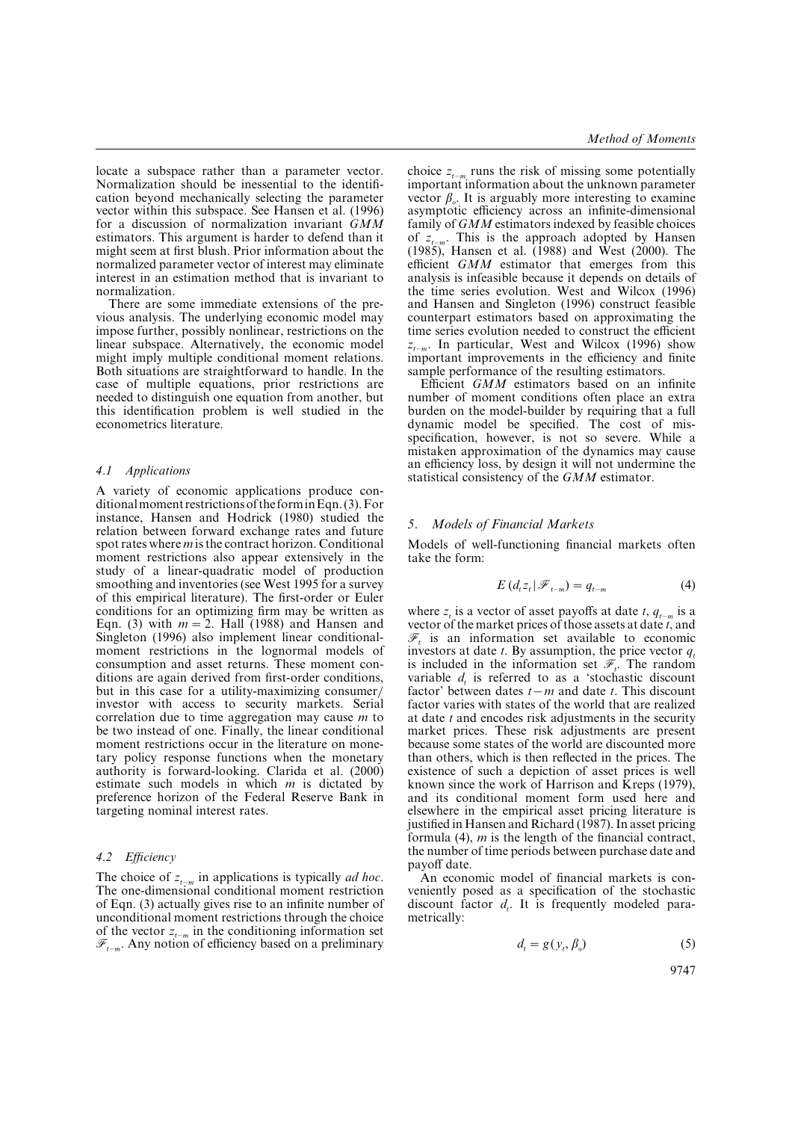locate a subspace rather than a parameter vector. Normalization should be inessential to the identification beyond mechanically selecting the parameter vector within this subspace. See Hansen et al. (1996) for a discussion of normalization invariant *GMM* estimators. This argument is harder to defend than it might seem at first blush. Prior information about the normalized parameter vector of interest may eliminate interest in an estimation method that is invariant to normalization.

There are some immediate extensions of the previous analysis. The underlying economic model may impose further, possibly nonlinear, restrictions on the linear subspace. Alternatively, the economic model might imply multiple conditional moment relations. Both situations are straightforward to handle. In the case of multiple equations, prior restrictions are needed to distinguish one equation from another, but this identification problem is well studied in the econometrics literature.

### *4.1 Applications*

A variety of economic applications produce conditionalmoment restrictionsof the forminEqn. (3).For instance, Hansen and Hodrick (1980) studied the relation between forward exchange rates and future spot rates where *m* is the contract horizon. Conditional moment restrictions also appear extensively in the study of a linear-quadratic model of production smoothing and inventories (see West 1995 for a survey of this empirical literature). The first-order or Euler conditions for an optimizing firm may be written as Eqn. (3) with  $m=2$ . Hall (1988) and Hansen and Singleton (1996) also implement linear conditionalmoment restrictions in the lognormal models of consumption and asset returns. These moment conditions are again derived from first-order conditions, but in this case for a utility-maximizing consumer investor with access to security markets. Serial correlation due to time aggregation may cause *m* to be two instead of one. Finally, the linear conditional moment restrictions occur in the literature on monetary policy response functions when the monetary authority is forward-looking. Clarida et al. (2000) estimate such models in which *m* is dictated by preference horizon of the Federal Reserve Bank in targeting nominal interest rates.

## *4.2 Efficiency*

The choice of  $z_{t-m}$  in applications is typically *ad hoc*. The one-dimensional conditional moment restriction of Eqn. (3) actually gives rise to an infinite number of unconditional moment restrictions through the choice of the vector  $z_{t-m}$  in the conditioning information set *t*−*m*. Any notion of efficiency based on a preliminary

choice  $z_{t-m}$  runs the risk of missing some potentially important information about the unknown parameter vector  $\beta_{\rho}$ . It is arguably more interesting to examine asymptotic efficiency across an infinite-dimensional family of *GMM* estimators indexed by feasible choices of  $z_{t-m}$ . This is the approach adopted by Hansen  $(1985)$ , Hansen et al. (1988) and West (2000). The efficient *GMM* estimator that emerges from this analysis is infeasible because it depends on details of the time series evolution. West and Wilcox (1996) and Hansen and Singleton (1996) construct feasible counterpart estimators based on approximating the time series evolution needed to construct the efficient *z t*−*m*. In particular, West and Wilcox (1996) show important improvements in the efficiency and finite sample performance of the resulting estimators.

Efficient *GMM* estimators based on an infinite number of moment conditions often place an extra burden on the model-builder by requiring that a full dynamic model be specified. The cost of misspecification, however, is not so severe. While a mistaken approximation of the dynamics may cause an efficiency loss, by design it will not undermine the statistical consistency of the *GMM* estimator.

#### *5. Models of Financial Markets*

Models of well-functioning financial markets often take the form:

$$
E\left(d_{t}z_{t}|\mathcal{F}_{t-m}\right)=q_{t-m} \tag{4}
$$

where  $z_t$  is a vector of asset payoffs at date *t*,  $q_{t-m}$  is a vector of the market prices of those assets at date *t*, and  $\mathcal{F}_t$  is an information set available to economic investors at date *t*. By assumption, the price vector  $q_t$ is included in the information set  $\mathscr{F}_t$ . The random variable  $d_t$  is referred to as a 'stochastic discount factor' between dates  $t-m$  and date  $t$ . This discount factor varies with states of the world that are realized at date *t* and encodes risk adjustments in the security market prices. These risk adjustments are present because some states of the world are discounted more than others, which is then reflected in the prices. The existence of such a depiction of asset prices is well known since the work of Harrison and  $\hat{K}$ reps (1979), and its conditional moment form used here and elsewhere in the empirical asset pricing literature is justified in Hansen and Richard (1987). In asset pricing formula (4), *m* is the length of the financial contract, the number of time periods between purchase date and payoff date.

An economic model of financial markets is conveniently posed as a specification of the stochastic discount factor  $d_t$ . It is frequently modeled parametrically:

$$
d_t = g(y_t, \beta_o) \tag{5}
$$

9747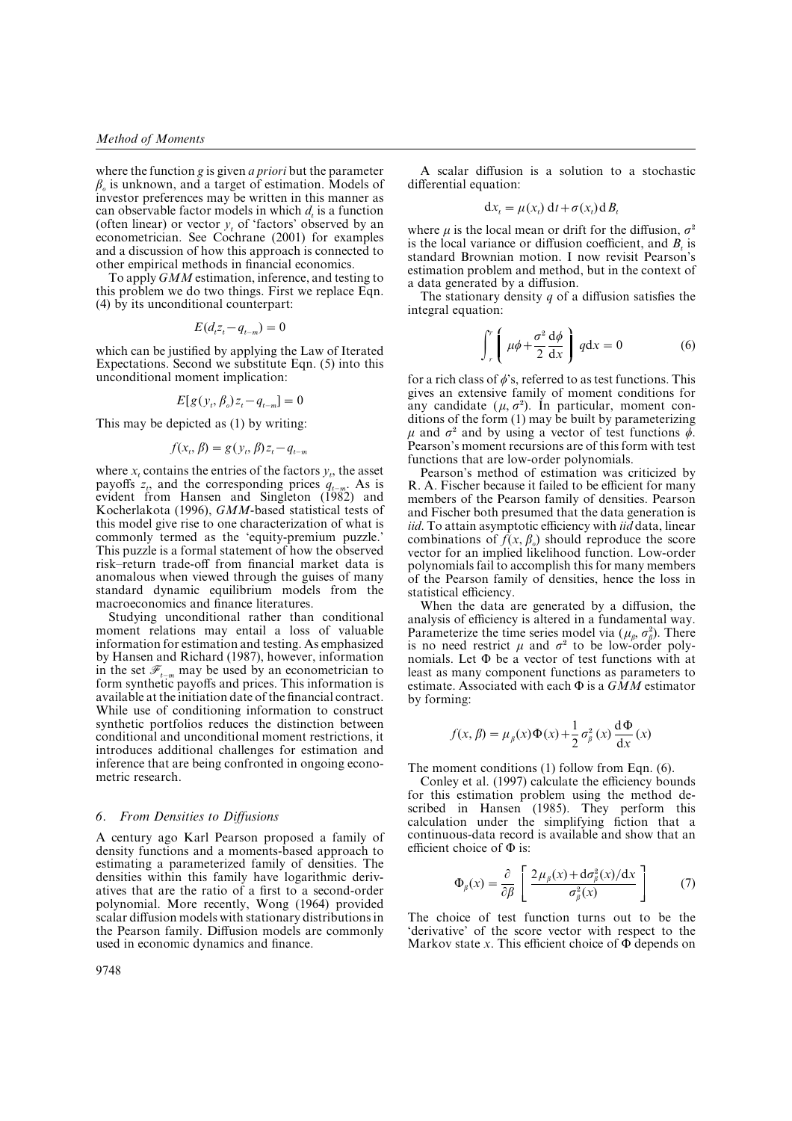where the function *g* is given *a priori* but the parameter β*o* is unknown, and a target of estimation. Models of investor preferences may be written in this manner as can observable factor models in which  $d_t$  is a function (often linear) or vector  $y_t$  of 'factors' observed by an econometrician. See Cochrane (2001) for examples and a discussion of how this approach is connected to other empirical methods in financial economics.

To apply *GMM* estimation, inference, and testing to this problem we do two things. First we replace Eqn. (4) by its unconditional counterpart:

$$
E(d_t z_t - q_{t-m}) = 0
$$

which can be justified by applying the Law of Iterated Expectations. Second we substitute Eqn. (5) into this unconditional moment implication:

$$
E[g(y_t, \beta_o)z_t - q_{t-m}] = 0
$$

This may be depicted as (1) by writing:

$$
f(x_t, \beta) = g(y_t, \beta) z_t - q_{t-m}
$$

where  $x_t$  contains the entries of the factors  $y_t$ , the asset payoffs  $z_t$ , and the corresponding prices  $q_{t-m}$ . As is evident from Hansen and Singleton (1982) and Kocherlakota (1996), *GMM*-based statistical tests of this model give rise to one characterization of what is commonly termed as the 'equity-premium puzzle.' This puzzle is a formal statement of how the observed risk–return trade-off from financial market data is anomalous when viewed through the guises of many standard dynamic equilibrium models from the macroeconomics and finance literatures.

Studying unconditional rather than conditional moment relations may entail a loss of valuable information for estimation and testing. As emphasized by Hansen and Richard (1987), however, information in the set  $\mathscr{F}_{t-m}$  may be used by an econometrician to form synthetic payoffs and prices. This information is available at the initiation date of the financial contract. While use of conditioning information to construct synthetic portfolios reduces the distinction between conditional and unconditional moment restrictions, it introduces additional challenges for estimation and inference that are being confronted in ongoing econometric research.

#### *6. From Densities to Diffusions*

A century ago Karl Pearson proposed a family of density functions and a moments-based approach to estimating a parameterized family of densities. The densities within this family have logarithmic derivatives that are the ratio of a first to a second-order polynomial. More recently, Wong (1964) provided scalar diffusion models with stationary distributions in the Pearson family. Diffusion models are commonly used in economic dynamics and finance.

A scalar diffusion is a solution to a stochastic differential equation:

$$
dx_t = \mu(x_t) dt + \sigma(x_t) dB_t
$$

where  $\mu$  is the local mean or drift for the diffusion,  $\sigma^2$ is the local variance or diffusion coefficient, and *Bt* is standard Brownian motion. I now revisit Pearson's estimation problem and method, but in the context of a data generated by a diffusion.

The stationary density *q* of a diffusion satisfies the integral equation:

$$
\int_{r}^{r} \left( \mu \phi + \frac{\sigma^2}{2} \frac{d\phi}{dx} \right) q dx = 0 \tag{6}
$$

for a rich class of  $\phi$ 's, referred to as test functions. This gives an extensive family of moment conditions for gives an extensive family of moment conditions for<br>any candidate  $(\mu, \sigma^2)$ . In particular, moment conditions of the form (1) may be built by parameterizing ditions of the form (1) may be built by parameterizing  $\mu$  and  $\sigma^2$  and by using a vector of test functions  $\phi$ . Pearson's moment recursions are of this form with test functions that are low-order polynomials.

Pearson's method of estimation was criticized by R. A. Fischer because it failed to be efficient for many members of the Pearson family of densities. Pearson and Fischer both presumed that the data generation is *iid*. To attain asymptotic efficiency with *iid* data, linear combinations of  $f(x, \beta_o)$  should reproduce the score vector for an implied likelihood function. Low-order polynomials fail to accomplish this for many members of the Pearson family of densities, hence the loss in statistical efficiency.

When the data are generated by a diffusion, the analysis of efficiency is altered in a fundamental way. analysis of efficiency is altered in a fundamental way.<br>Parameterize the time series model via  $(\mu_{\beta}, \sigma_{\beta}^2)$ . There Parameterize the time series model via ( $\mu_{\beta}$ ,  $\sigma_{\beta}^2$ ). There is no need restrict  $\mu$  and  $\sigma^2$  to be low-order polynomials. Let  $\Phi$  be a vector of test functions with at least as many component functions as parameters to estimate. Associated with each Φ is a *GMM* estimator by forming:

$$
f(x, \beta) = \mu_{\beta}(x)\Phi(x) + \frac{1}{2}\sigma_{\beta}^{2}(x)\frac{d\Phi}{dx}(x)
$$

The moment conditions (1) follow from Eqn. (6).

Conley et al. (1997) calculate the efficiency bounds for this estimation problem using the method described in Hansen (1985). They perform this calculation under the simplifying fiction that a continuous-data record is available and show that an efficient choice of Φ is:

$$
\Phi_{\beta}(x) = \frac{\partial}{\partial \beta} \left[ \frac{2\mu_{\beta}(x) + d\sigma_{\beta}^{2}(x)/dx}{\sigma_{\beta}^{2}(x)} \right] \tag{7}
$$

The choice of test function turns out to be the 'derivative' of the score vector with respect to the Markov state  $x$ . This efficient choice of  $\Phi$  depends on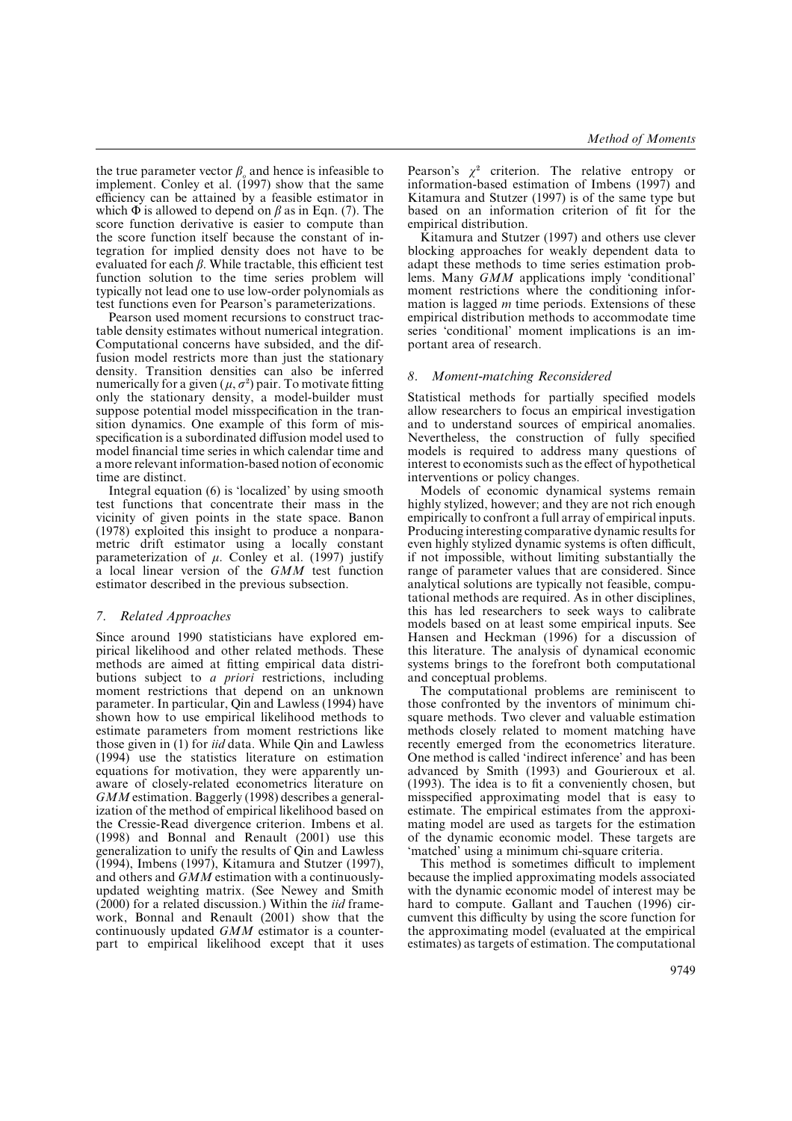the true parameter vector  $\beta$ <sub>*o*</sub> and hence is infeasible to implement. Conley et al.  $(1997)$  show that the same efficiency can be attained by a feasible estimator in which  $\Phi$  is allowed to depend on  $\beta$  as in Eqn. (7). The score function derivative is easier to compute than the score function itself because the constant of integration for implied density does not have to be evaluated for each  $\beta$ . While tractable, this efficient test function solution to the time series problem will typically not lead one to use low-order polynomials as test functions even for Pearson's parameterizations.

Pearson used moment recursions to construct tractable density estimates without numerical integration. Computational concerns have subsided, and the diffusion model restricts more than just the stationary density. Transition densities can also be inferred density. Transition densities can also be inferred<br>numerically for a given  $(\mu, \sigma^2)$  pair. To motivate fitting only the stationary density, a model-builder must suppose potential model misspecification in the transition dynamics. One example of this form of misspecification is a subordinated diffusion model used to model financial time series in which calendar time and a more relevant information-based notion of economic time are distinct.

Integral equation (6) is 'localized' by using smooth test functions that concentrate their mass in the vicinity of given points in the state space. Banon (1978) exploited this insight to produce a nonparametric drift estimator using a locally constant parameterization of  $\mu$ . Conley et al. (1997) justify a local linear version of the *GMM* test function estimator described in the previous subsection.

## *7. Related Approaches*

Since around 1990 statisticians have explored empirical likelihood and other related methods. These methods are aimed at fitting empirical data distributions subject to *a priori* restrictions, including moment restrictions that depend on an unknown parameter. In particular, Qin and Lawless (1994) have shown how to use empirical likelihood methods to estimate parameters from moment restrictions like those given in (1) for *iid* data. While Qin and Lawless (1994) use the statistics literature on estimation equations for motivation, they were apparently unaware of closely-related econometrics literature on *GMM* estimation. Baggerly (1998) describes a generalization of the method of empirical likelihood based on the Cressie-Read divergence criterion. Imbens et al. (1998) and Bonnal and Renault (2001) use this generalization to unify the results of Qin and Lawless (1994), Imbens (1997), Kitamura and Stutzer (1997), and others and *GMM* estimation with a continuouslyupdated weighting matrix. (See Newey and Smith (2000) for a related discussion.) Within the *iid* framework, Bonnal and Renault (2001) show that the continuously updated *GMM* estimator is a counterpart to empirical likelihood except that it uses

Pearson's  $\chi^2$  criterion. The relative entropy or information-based estimation of Imbens (1997) and Kitamura and Stutzer (1997) is of the same type but based on an information criterion of fit for the empirical distribution.

Kitamura and Stutzer (1997) and others use clever blocking approaches for weakly dependent data to adapt these methods to time series estimation problems. Many *GMM* applications imply 'conditional' moment restrictions where the conditioning information is lagged *m* time periods. Extensions of these empirical distribution methods to accommodate time series 'conditional' moment implications is an important area of research.

### *8. Moment-matching Reconsidered*

Statistical methods for partially specified models allow researchers to focus an empirical investigation and to understand sources of empirical anomalies. Nevertheless, the construction of fully specified models is required to address many questions of interest to economists such as the effect of hypothetical interventions or policy changes.

Models of economic dynamical systems remain highly stylized, however; and they are not rich enough empirically to confront a full array of empirical inputs. Producing interesting comparative dynamic results for even highly stylized dynamic systems is often difficult, if not impossible, without limiting substantially the range of parameter values that are considered. Since analytical solutions are typically not feasible, computational methods are required. As in other disciplines, this has led researchers to seek ways to calibrate models based on at least some empirical inputs. See Hansen and Heckman (1996) for a discussion of this literature. The analysis of dynamical economic systems brings to the forefront both computational and conceptual problems.

The computational problems are reminiscent to those confronted by the inventors of minimum chisquare methods. Two clever and valuable estimation methods closely related to moment matching have recently emerged from the econometrics literature. One method is called 'indirect inference' and has been advanced by Smith (1993) and Gourieroux et al. (1993). The idea is to fit a conveniently chosen, but misspecified approximating model that is easy to estimate. The empirical estimates from the approximating model are used as targets for the estimation of the dynamic economic model. These targets are 'matched' using a minimum chi-square criteria.

This method is sometimes difficult to implement because the implied approximating models associated with the dynamic economic model of interest may be hard to compute. Gallant and Tauchen (1996) circumvent this difficulty by using the score function for the approximating model (evaluated at the empirical estimates) as targets of estimation. The computational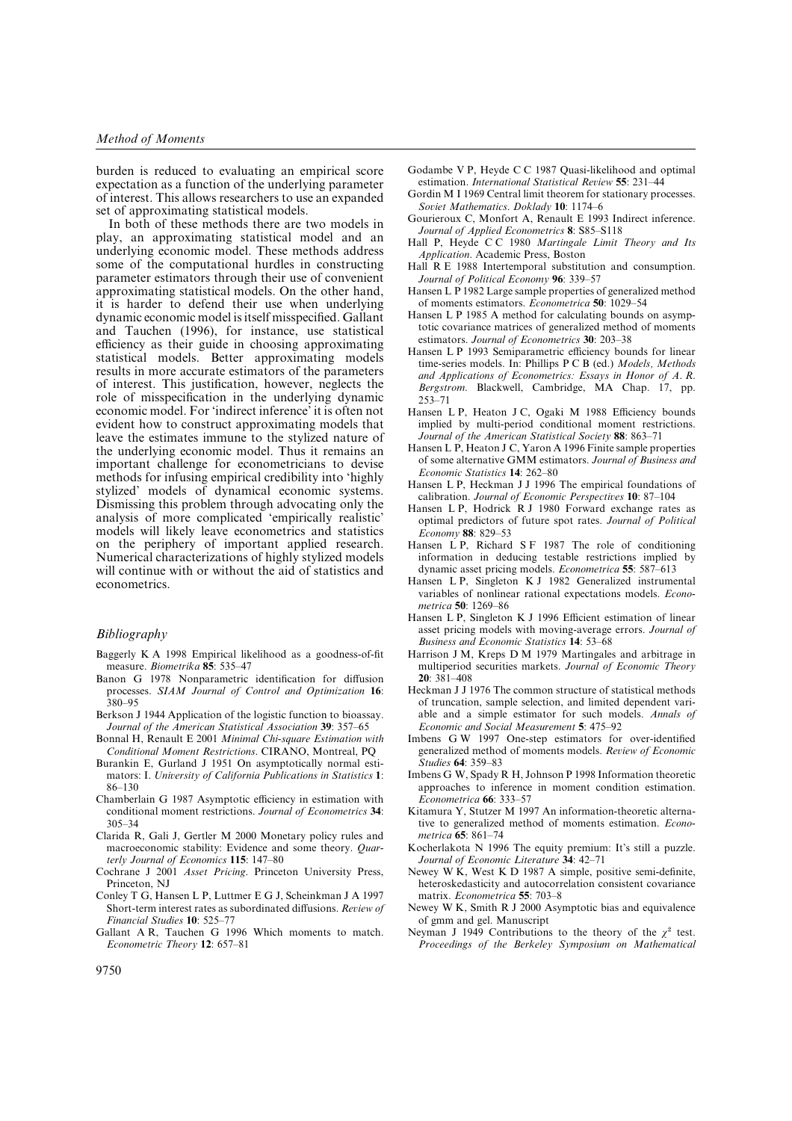burden is reduced to evaluating an empirical score expectation as a function of the underlying parameter of interest. This allows researchers to use an expanded set of approximating statistical models.

In both of these methods there are two models in play, an approximating statistical model and an underlying economic model. These methods address some of the computational hurdles in constructing parameter estimators through their use of convenient approximating statistical models. On the other hand, it is harder to defend their use when underlying dynamic economic model is itself misspecified. Gallant and Tauchen (1996), for instance, use statistical efficiency as their guide in choosing approximating statistical models. Better approximating models results in more accurate estimators of the parameters of interest. This justification, however, neglects the role of misspecification in the underlying dynamic economic model. For 'indirect inference' it is often not evident how to construct approximating models that leave the estimates immune to the stylized nature of the underlying economic model. Thus it remains an important challenge for econometricians to devise methods for infusing empirical credibility into 'highly stylized' models of dynamical economic systems. Dismissing this problem through advocating only the analysis of more complicated 'empirically realistic' models will likely leave econometrics and statistics on the periphery of important applied research. Numerical characterizations of highly stylized models will continue with or without the aid of statistics and econometrics.

#### *Bibliography*

- Baggerly K A 1998 Empirical likelihood as a goodness-of-fit measure. *Biometrika* **85**: 535–47
- Banon G 1978 Nonparametric identification for diffusion processes. *SIAM Journal of Control and Optimization* **16**:  $380 - 95$
- Berkson J 1944 Application of the logistic function to bioassay. *Journal of the American Statistical Association* **39**: 357–65
- Bonnal H, Renault E 2001 *Minimal Chi*-*square Estimation with Conditional Moment Restrictions*. CIRANO, Montreal, PQ
- Burankin E, Gurland J 1951 On asymptotically normal estimators: I. *Uniersity of California Publications in Statistics* **1**: 86–130
- Chamberlain G 1987 Asymptotic efficiency in estimation with conditional moment restrictions. *Journal of Econometrics* **34**: 305–34
- Clarida R, Gali J, Gertler M 2000 Monetary policy rules and macroeconomic stability: Evidence and some theory. *Quarterly Journal of Economics* **115**: 147–80
- Cochrane J 2001 *Asset Pricing*. Princeton University Press, Princeton, NJ
- Conley T G, Hansen L P, Luttmer E G J, Scheinkman J A 1997 Short-term interest rates as subordinated diffusions. *Reiew of Financial Studies* **10**: 525–77
- Gallant A R, Tauchen G 1996 Which moments to match. *Econometric Theory* **12**: 657–81
- Godambe V P, Heyde C C 1987 Quasi-likelihood and optimal estimation. *International Statistical Reiew* **55**: 231–44
- Gordin M I 1969 Central limit theorem for stationary processes. *Soiet Mathematics*. *Doklady* **10**: 1174–6
- Gourieroux C, Monfort A, Renault E 1993 Indirect inference. *Journal of Applied Econometrics* **8**: S85–S118
- Hall P, Heyde C C 1980 *Martingale Limit Theory and Its Application*. Academic Press, Boston
- Hall R E 1988 Intertemporal substitution and consumption. *Journal of Political Economy* **96**: 339–57
- Hansen L P 1982 Large sample properties of generalized method of moments estimators. *Econometrica* **50**: 1029–54
- Hansen L P 1985 A method for calculating bounds on asymptotic covariance matrices of generalized method of moments estimators. *Journal of Econometrics* **30**: 203–38
- Hansen L P 1993 Semiparametric efficiency bounds for linear time-series models. In: Phillips P C B (ed.) *Models, Methods and Applications of Econometrics: Essays in Honor of A. R. Bergstrom*. Blackwell, Cambridge, MA Chap. 17, pp. 253–71
- Hansen L P, Heaton J C, Ogaki M 1988 Efficiency bounds implied by multi-period conditional moment restrictions. *Journal of the American Statistical Society* **88**: 863–71
- Hansen L P, Heaton J C, Yaron A 1996 Finite sample properties of some alternative GMM estimators. *Journal of Business and Economic Statistics* **14**: 262–80
- Hansen L P, Heckman J J 1996 The empirical foundations of calibration. *Journal of Economic Perspecties* **10**: 87–104
- Hansen L P, Hodrick R J 1980 Forward exchange rates as optimal predictors of future spot rates. *Journal of Political Economy* **88**: 829–53
- Hansen L P, Richard S F 1987 The role of conditioning information in deducing testable restrictions implied by dynamic asset pricing models. *Econometrica* **55**: 587–613
- Hansen L P, Singleton K J 1982 Generalized instrumental variables of nonlinear rational expectations models. *Econometrica* **50**: 1269–86
- Hansen L P, Singleton K J 1996 Efficient estimation of linear asset pricing models with moving-average errors. *Journal of Business and Economic Statistics* **14**: 53–68
- Harrison J M, Kreps D M 1979 Martingales and arbitrage in multiperiod securities markets. *Journal of Economic Theory* **20**: 381–408
- Heckman J J 1976 The common structure of statistical methods of truncation, sample selection, and limited dependent variable and a simple estimator for such models. *Annals of Economic and Social Measurement* **5**: 475–92
- Imbens G W 1997 One-step estimators for over-identified generalized method of moments models. *Reiew of Economic Studies* **64**: 359–83
- Imbens G W, Spady R H, Johnson P 1998 Information theoretic approaches to inference in moment condition estimation. *Econometrica* **66**: 333–57
- Kitamura Y, Stutzer M 1997 An information-theoretic alternative to generalized method of moments estimation. *Econometrica* **65**: 861–74
- Kocherlakota N 1996 The equity premium: It's still a puzzle. *Journal of Economic Literature* **34**: 42–71
- Newey W K, West K D 1987 A simple, positive semi-definite, heteroskedasticity and autocorrelation consistent covariance matrix. *Econometrica* **55**: 703–8
- Newey W K, Smith R J 2000 Asymptotic bias and equivalence of gmm and gel. Manuscript
- of gmm and gel. Manuscript<br>Neyman J 1949 Contributions to the theory of the  $\chi^2$  test. *Proceedings of the Berkeley Symposium on Mathematical*